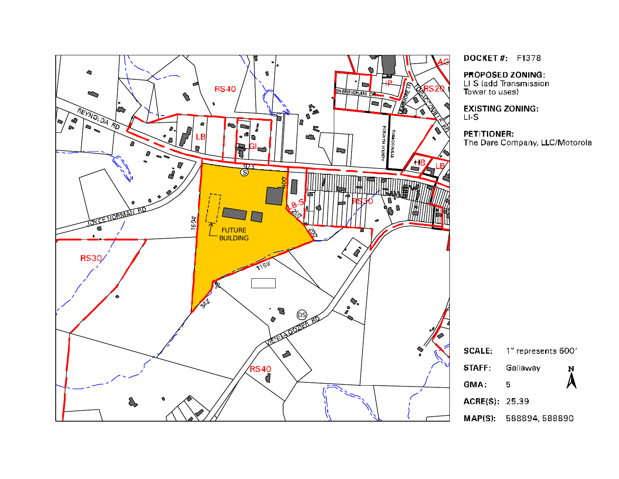

**DOCKET#: F1378** 

PROPOSED ZONING:

LI-S (add Transmission<br>Tower to uses)

**EXISTING ZONING:**  $L.S$ 

#### PETITIONER:

The Dare Company, LLC/Motorola

| <b>SCALE:</b>  | $1''$ represents $600'$ |   |
|----------------|-------------------------|---|
| <b>STAFF</b>   | Gallaway                | N |
| GMA:           | 5                       |   |
| ACRE(S): 25.39 |                         |   |
| MAP(S):        | 588894, 588890          |   |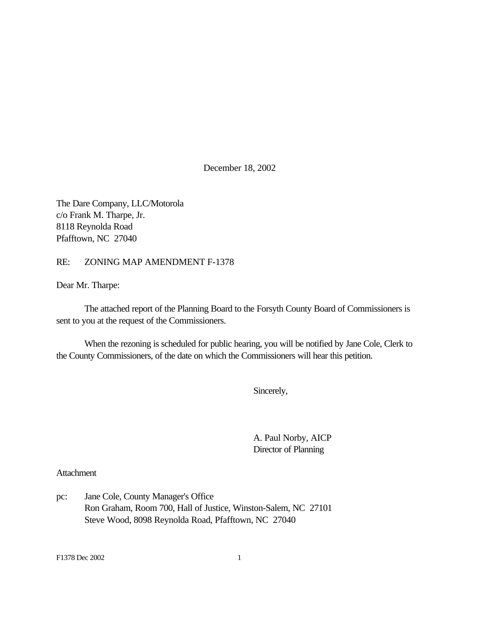December 18, 2002

The Dare Company, LLC/Motorola c/o Frank M. Tharpe, Jr. 8118 Reynolda Road Pfafftown, NC 27040

### RE: ZONING MAP AMENDMENT F-1378

Dear Mr. Tharpe:

The attached report of the Planning Board to the Forsyth County Board of Commissioners is sent to you at the request of the Commissioners.

When the rezoning is scheduled for public hearing, you will be notified by Jane Cole, Clerk to the County Commissioners, of the date on which the Commissioners will hear this petition.

Sincerely,

A. Paul Norby, AICP Director of Planning

#### Attachment

pc: Jane Cole, County Manager's Office Ron Graham, Room 700, Hall of Justice, Winston-Salem, NC 27101 Steve Wood, 8098 Reynolda Road, Pfafftown, NC 27040

F1378 Dec 2002 1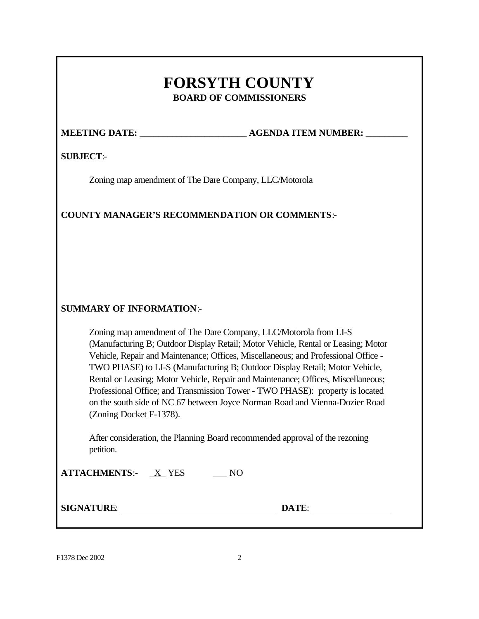# **FORSYTH COUNTY BOARD OF COMMISSIONERS**

**MEETING DATE: \_\_\_\_\_\_\_\_\_\_\_\_\_\_\_\_\_\_\_\_\_\_\_ AGENDA ITEM NUMBER: \_\_\_\_\_\_\_\_\_**

# **SUBJECT**:-

Zoning map amendment of The Dare Company, LLC/Motorola

# **COUNTY MANAGER'S RECOMMENDATION OR COMMENTS**:-

# **SUMMARY OF INFORMATION**:-

Zoning map amendment of The Dare Company, LLC/Motorola from LI-S (Manufacturing B; Outdoor Display Retail; Motor Vehicle, Rental or Leasing; Motor Vehicle, Repair and Maintenance; Offices, Miscellaneous; and Professional Office - TWO PHASE) to LI-S (Manufacturing B; Outdoor Display Retail; Motor Vehicle, Rental or Leasing; Motor Vehicle, Repair and Maintenance; Offices, Miscellaneous; Professional Office; and Transmission Tower - TWO PHASE): property is located on the south side of NC 67 between Joyce Norman Road and Vienna-Dozier Road (Zoning Docket F-1378).

After consideration, the Planning Board recommended approval of the rezoning petition.

| <b>ATTACHMENTS:-</b> | <b>YES</b> |  |
|----------------------|------------|--|
|                      |            |  |

**SIGNATURE**: **DATE**: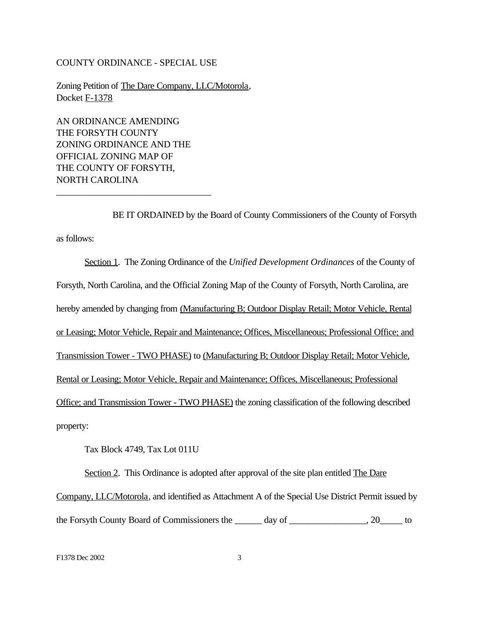#### COUNTY ORDINANCE - SPECIAL USE

Zoning Petition of The Dare Company, LLC/Motorola, Docket F-1378

AN ORDINANCE AMENDING THE FORSYTH COUNTY ZONING ORDINANCE AND THE OFFICIAL ZONING MAP OF THE COUNTY OF FORSYTH, NORTH CAROLINA

\_\_\_\_\_\_\_\_\_\_\_\_\_\_\_\_\_\_\_\_\_\_\_\_\_\_\_\_\_\_\_\_\_

BE IT ORDAINED by the Board of County Commissioners of the County of Forsyth as follows:

Section 1. The Zoning Ordinance of the *Unified Development Ordinances* of the County of Forsyth, North Carolina, and the Official Zoning Map of the County of Forsyth, North Carolina, are hereby amended by changing from (Manufacturing B; Outdoor Display Retail; Motor Vehicle, Rental or Leasing; Motor Vehicle, Repair and Maintenance; Offices, Miscellaneous; Professional Office; and Transmission Tower - TWO PHASE) to (Manufacturing B; Outdoor Display Retail; Motor Vehicle, Rental or Leasing; Motor Vehicle, Repair and Maintenance; Offices, Miscellaneous; Professional Office; and Transmission Tower - TWO PHASE) the zoning classification of the following described property:

Tax Block 4749, Tax Lot 011U

Section 2. This Ordinance is adopted after approval of the site plan entitled The Dare Company, LLC/Motorola, and identified as Attachment A of the Special Use District Permit issued by the Forsyth County Board of Commissioners the \_\_\_\_\_\_ day of \_\_\_\_\_\_\_\_\_\_\_\_\_\_\_\_\_, 20\_\_\_\_\_ to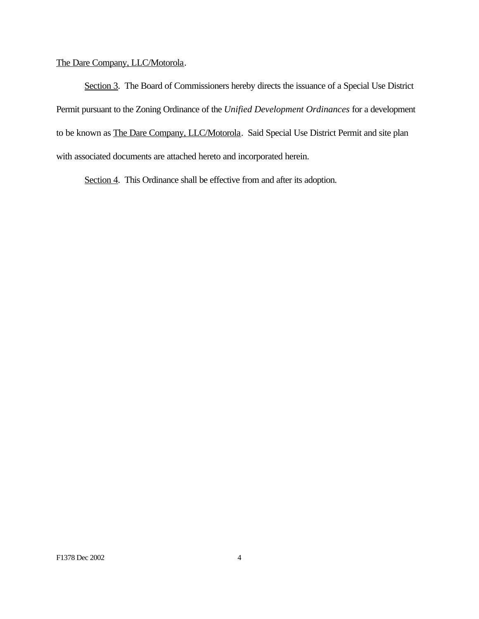# The Dare Company, LLC/Motorola.

Section 3. The Board of Commissioners hereby directs the issuance of a Special Use District Permit pursuant to the Zoning Ordinance of the *Unified Development Ordinances* for a development to be known as The Dare Company, LLC/Motorola. Said Special Use District Permit and site plan with associated documents are attached hereto and incorporated herein.

Section 4. This Ordinance shall be effective from and after its adoption.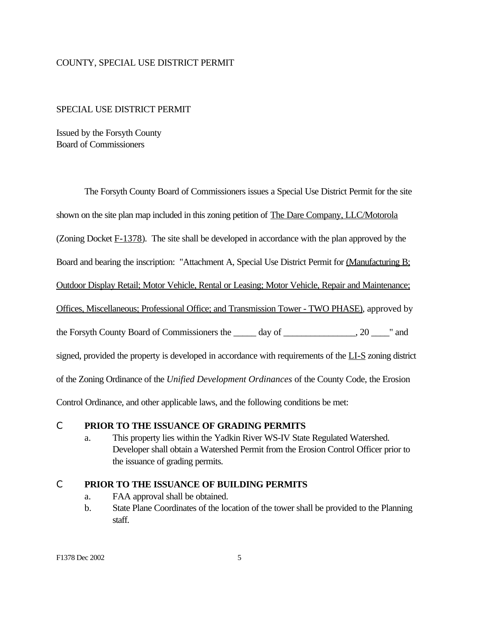#### COUNTY, SPECIAL USE DISTRICT PERMIT

#### SPECIAL USE DISTRICT PERMIT

Issued by the Forsyth County Board of Commissioners

The Forsyth County Board of Commissioners issues a Special Use District Permit for the site shown on the site plan map included in this zoning petition of The Dare Company, LLC/Motorola (Zoning Docket  $F-1378$ ). The site shall be developed in accordance with the plan approved by the Board and bearing the inscription: "Attachment A, Special Use District Permit for (Manufacturing B; Outdoor Display Retail; Motor Vehicle, Rental or Leasing; Motor Vehicle, Repair and Maintenance; Offices, Miscellaneous; Professional Office; and Transmission Tower - TWO PHASE), approved by the Forsyth County Board of Commissioners the \_\_\_\_\_ day of \_\_\_\_\_\_\_\_\_\_\_\_\_\_\_\_, 20 \_\_\_\_" and signed, provided the property is developed in accordance with requirements of the LI-S zoning district of the Zoning Ordinance of the *Unified Development Ordinances* of the County Code, the Erosion Control Ordinance, and other applicable laws, and the following conditions be met:

#### C **PRIOR TO THE ISSUANCE OF GRADING PERMITS**

a. This property lies within the Yadkin River WS-IV State Regulated Watershed. Developer shall obtain a Watershed Permit from the Erosion Control Officer prior to the issuance of grading permits.

#### C **PRIOR TO THE ISSUANCE OF BUILDING PERMITS**

- a. FAA approval shall be obtained.
- b. State Plane Coordinates of the location of the tower shall be provided to the Planning staff.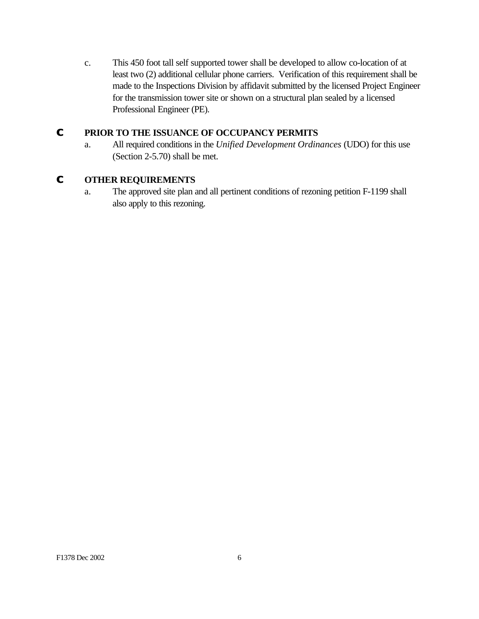c. This 450 foot tall self supported tower shall be developed to allow co-location of at least two (2) additional cellular phone carriers. Verification of this requirement shall be made to the Inspections Division by affidavit submitted by the licensed Project Engineer for the transmission tower site or shown on a structural plan sealed by a licensed Professional Engineer (PE).

# **C PRIOR TO THE ISSUANCE OF OCCUPANCY PERMITS**

a. All required conditions in the *Unified Development Ordinances* (UDO) for this use (Section 2-5.70) shall be met.

# **C OTHER REQUIREMENTS**

a. The approved site plan and all pertinent conditions of rezoning petition F-1199 shall also apply to this rezoning.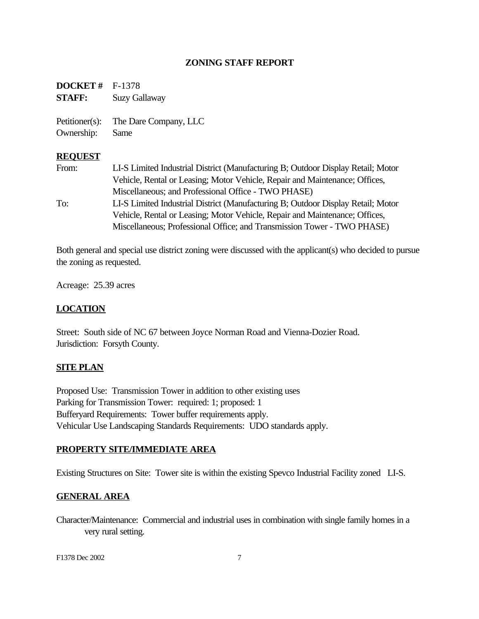# **ZONING STAFF REPORT**

**DOCKET #** F-1378 **STAFF:** Suzy Gallaway Petitioner(s): The Dare Company, LLC Ownership: Same

#### **REQUEST**

From: LI-S Limited Industrial District (Manufacturing B; Outdoor Display Retail; Motor Vehicle, Rental or Leasing; Motor Vehicle, Repair and Maintenance; Offices, Miscellaneous; and Professional Office - TWO PHASE) To: LI-S Limited Industrial District (Manufacturing B; Outdoor Display Retail; Motor Vehicle, Rental or Leasing; Motor Vehicle, Repair and Maintenance; Offices, Miscellaneous; Professional Office; and Transmission Tower - TWO PHASE)

Both general and special use district zoning were discussed with the applicant(s) who decided to pursue the zoning as requested.

Acreage: 25.39 acres

### **LOCATION**

Street: South side of NC 67 between Joyce Norman Road and Vienna-Dozier Road. Jurisdiction: Forsyth County.

### **SITE PLAN**

Proposed Use: Transmission Tower in addition to other existing uses Parking for Transmission Tower: required: 1; proposed: 1 Bufferyard Requirements: Tower buffer requirements apply. Vehicular Use Landscaping Standards Requirements: UDO standards apply.

### **PROPERTY SITE/IMMEDIATE AREA**

Existing Structures on Site: Tower site is within the existing Spevco Industrial Facility zoned LI-S.

### **GENERAL AREA**

Character/Maintenance: Commercial and industrial uses in combination with single family homes in a very rural setting.

F1378 Dec 2002 7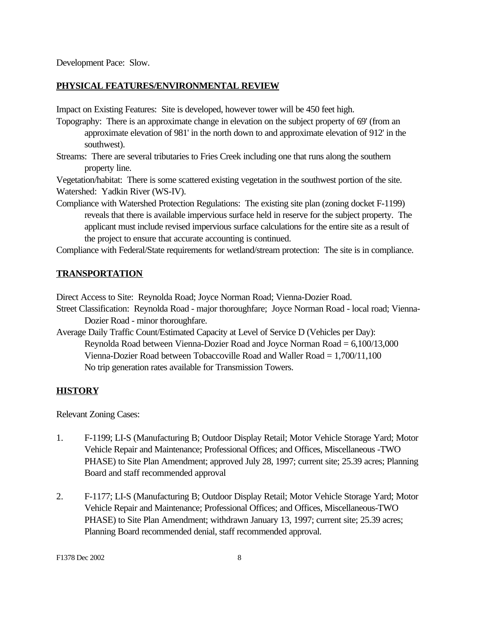Development Pace: Slow.

#### **PHYSICAL FEATURES/ENVIRONMENTAL REVIEW**

Impact on Existing Features: Site is developed, however tower will be 450 feet high.

- Topography: There is an approximate change in elevation on the subject property of 69' (from an approximate elevation of 981' in the north down to and approximate elevation of 912' in the southwest).
- Streams: There are several tributaries to Fries Creek including one that runs along the southern property line.

Vegetation/habitat: There is some scattered existing vegetation in the southwest portion of the site. Watershed: Yadkin River (WS-IV).

Compliance with Watershed Protection Regulations: The existing site plan (zoning docket F-1199) reveals that there is available impervious surface held in reserve for the subject property. The applicant must include revised impervious surface calculations for the entire site as a result of the project to ensure that accurate accounting is continued.

Compliance with Federal/State requirements for wetland/stream protection: The site is in compliance.

#### **TRANSPORTATION**

Direct Access to Site: Reynolda Road; Joyce Norman Road; Vienna-Dozier Road.

Street Classification: Reynolda Road - major thoroughfare; Joyce Norman Road - local road; Vienna-Dozier Road - minor thoroughfare.

Average Daily Traffic Count/Estimated Capacity at Level of Service D (Vehicles per Day): Reynolda Road between Vienna-Dozier Road and Joyce Norman Road = 6,100/13,000 Vienna-Dozier Road between Tobaccoville Road and Waller Road = 1,700/11,100 No trip generation rates available for Transmission Towers.

#### **HISTORY**

Relevant Zoning Cases:

- 1. F-1199; LI-S (Manufacturing B; Outdoor Display Retail; Motor Vehicle Storage Yard; Motor Vehicle Repair and Maintenance; Professional Offices; and Offices, Miscellaneous -TWO PHASE) to Site Plan Amendment; approved July 28, 1997; current site; 25.39 acres; Planning Board and staff recommended approval
- 2. F-1177; LI-S (Manufacturing B; Outdoor Display Retail; Motor Vehicle Storage Yard; Motor Vehicle Repair and Maintenance; Professional Offices; and Offices, Miscellaneous-TWO PHASE) to Site Plan Amendment; withdrawn January 13, 1997; current site; 25.39 acres; Planning Board recommended denial, staff recommended approval.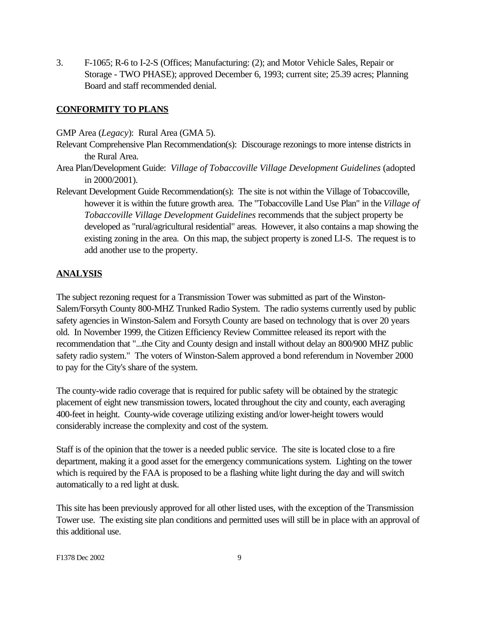3. F-1065; R-6 to I-2-S (Offices; Manufacturing: (2); and Motor Vehicle Sales, Repair or Storage - TWO PHASE); approved December 6, 1993; current site; 25.39 acres; Planning Board and staff recommended denial.

# **CONFORMITY TO PLANS**

GMP Area (*Legacy*): Rural Area (GMA 5).

- Relevant Comprehensive Plan Recommendation(s): Discourage rezonings to more intense districts in the Rural Area.
- Area Plan/Development Guide: *Village of Tobaccoville Village Development Guidelines* (adopted in 2000/2001).
- Relevant Development Guide Recommendation(s): The site is not within the Village of Tobaccoville, however it is within the future growth area. The "Tobaccoville Land Use Plan" in the *Village of Tobaccoville Village Development Guidelines* recommends that the subject property be developed as "rural/agricultural residential" areas. However, it also contains a map showing the existing zoning in the area. On this map, the subject property is zoned LI-S. The request is to add another use to the property.

# **ANALYSIS**

The subject rezoning request for a Transmission Tower was submitted as part of the Winston-Salem/Forsyth County 800-MHZ Trunked Radio System. The radio systems currently used by public safety agencies in Winston-Salem and Forsyth County are based on technology that is over 20 years old. In November 1999, the Citizen Efficiency Review Committee released its report with the recommendation that "...the City and County design and install without delay an 800/900 MHZ public safety radio system." The voters of Winston-Salem approved a bond referendum in November 2000 to pay for the City's share of the system.

The county-wide radio coverage that is required for public safety will be obtained by the strategic placement of eight new transmission towers, located throughout the city and county, each averaging 400-feet in height. County-wide coverage utilizing existing and/or lower-height towers would considerably increase the complexity and cost of the system.

Staff is of the opinion that the tower is a needed public service. The site is located close to a fire department, making it a good asset for the emergency communications system. Lighting on the tower which is required by the FAA is proposed to be a flashing white light during the day and will switch automatically to a red light at dusk.

This site has been previously approved for all other listed uses, with the exception of the Transmission Tower use. The existing site plan conditions and permitted uses will still be in place with an approval of this additional use.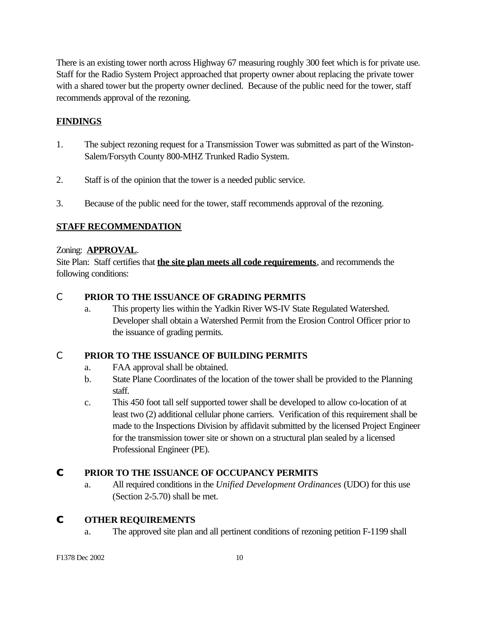There is an existing tower north across Highway 67 measuring roughly 300 feet which is for private use. Staff for the Radio System Project approached that property owner about replacing the private tower with a shared tower but the property owner declined. Because of the public need for the tower, staff recommends approval of the rezoning.

# **FINDINGS**

- 1. The subject rezoning request for a Transmission Tower was submitted as part of the Winston-Salem/Forsyth County 800-MHZ Trunked Radio System.
- 2. Staff is of the opinion that the tower is a needed public service.
- 3. Because of the public need for the tower, staff recommends approval of the rezoning.

# **STAFF RECOMMENDATION**

#### Zoning: **APPROVAL**.

Site Plan: Staff certifies that **the site plan meets all code requirements**, and recommends the following conditions:

# C **PRIOR TO THE ISSUANCE OF GRADING PERMITS**

a. This property lies within the Yadkin River WS-IV State Regulated Watershed. Developer shall obtain a Watershed Permit from the Erosion Control Officer prior to the issuance of grading permits.

### C **PRIOR TO THE ISSUANCE OF BUILDING PERMITS**

- a. FAA approval shall be obtained.
- b. State Plane Coordinates of the location of the tower shall be provided to the Planning staff.
- c. This 450 foot tall self supported tower shall be developed to allow co-location of at least two (2) additional cellular phone carriers. Verification of this requirement shall be made to the Inspections Division by affidavit submitted by the licensed Project Engineer for the transmission tower site or shown on a structural plan sealed by a licensed Professional Engineer (PE).

# **C PRIOR TO THE ISSUANCE OF OCCUPANCY PERMITS**

a. All required conditions in the *Unified Development Ordinances* (UDO) for this use (Section 2-5.70) shall be met.

## **C OTHER REQUIREMENTS**

a. The approved site plan and all pertinent conditions of rezoning petition F-1199 shall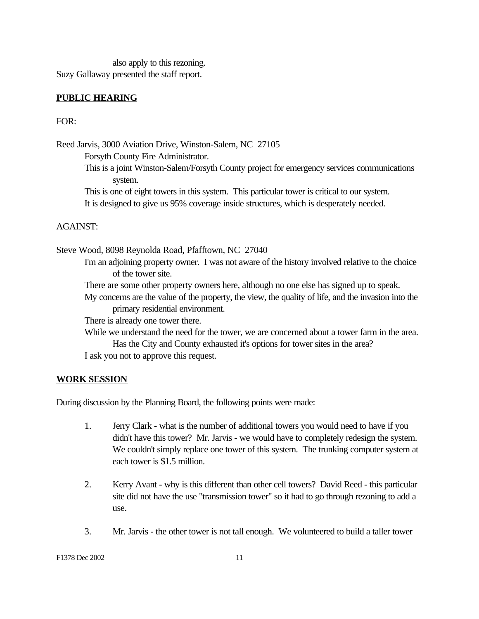also apply to this rezoning. Suzy Gallaway presented the staff report.

#### **PUBLIC HEARING**

FOR:

Reed Jarvis, 3000 Aviation Drive, Winston-Salem, NC 27105 Forsyth County Fire Administrator.

This is a joint Winston-Salem/Forsyth County project for emergency services communications system.

This is one of eight towers in this system. This particular tower is critical to our system. It is designed to give us 95% coverage inside structures, which is desperately needed.

#### AGAINST:

Steve Wood, 8098 Reynolda Road, Pfafftown, NC 27040

I'm an adjoining property owner. I was not aware of the history involved relative to the choice of the tower site.

There are some other property owners here, although no one else has signed up to speak.

My concerns are the value of the property, the view, the quality of life, and the invasion into the primary residential environment.

There is already one tower there.

While we understand the need for the tower, we are concerned about a tower farm in the area. Has the City and County exhausted it's options for tower sites in the area?

I ask you not to approve this request.

#### **WORK SESSION**

During discussion by the Planning Board, the following points were made:

- 1. Jerry Clark what is the number of additional towers you would need to have if you didn't have this tower? Mr. Jarvis - we would have to completely redesign the system. We couldn't simply replace one tower of this system. The trunking computer system at each tower is \$1.5 million.
- 2. Kerry Avant why is this different than other cell towers? David Reed this particular site did not have the use "transmission tower" so it had to go through rezoning to add a use.
- 3. Mr. Jarvis the other tower is not tall enough. We volunteered to build a taller tower